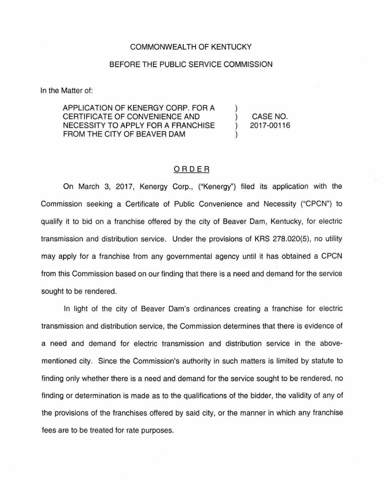## COMMONWEALTH OF KENTUCKY

## BEFORE THE PUBLIC SERVICE COMMISSION

In the Matter of:

APPLICATION OF KENERGY CORP. FOR A CERTIFICATE OF CONVENIENCE AND NECESSITY TO APPLY FOR A FRANCHISE FROM THE CITY OF BEAVER DAM

) CASE NO. ) 2017-00116

)

)

## ORDER

On March 3, 2017, Kenergy Corp., ("Kenergy") filed its application with the Commission seeking a Certificate of Public Convenience and Necessity ("CPCN") to qualify it to bid on a franchise offered by the city of Beaver Dam, Kentucky, for electric transmission and distribution service. Under the provisions of KRS 278.020(5}, no utility may apply for a franchise from any governmental agency until it has obtained a CPCN from this Commission based on our finding that there is a need and demand for the service sought to be rendered.

In light of the city of Beaver Dam's ordinances creating a franchise for electric transmission and distribution service, the Commission determines that there is evidence of a need and demand for electric transmission and distribution service in the abovementioned city. Since the Commission's authority in such matters is limited by statute to finding only whether there is a need and demand for the service sought to be rendered, no finding or determination is made as to the qualifications of the bidder, the validity of any of the provisions of the franchises offered by said city, or the manner in which any franchise fees are to be treated for rate purposes.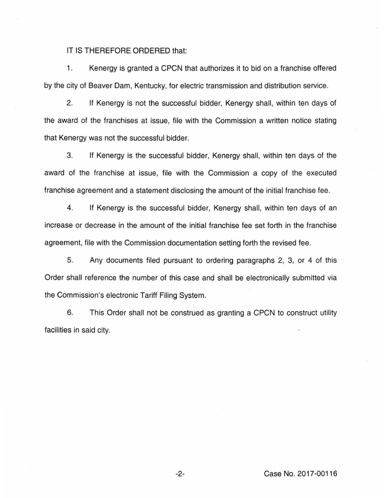IT IS THEREFORE ORDERED that:

1. Kenergy is granted a CPCN that authorizes it to bid on a franchise offered by the city of Beaver Dam, Kentucky, for electric transmission and distribution service.

2. If Kenergy is not the successful bidder, Kenergy shall, within ten days of the award of the franchises at issue, file with the Commission a written notice stating that Kenergy was not the successful bidder.

3. If Kenergy is the successful bidder, Kenergy shall, within ten days of the award of the franchise at issue, file with the Commission a copy of the executed franchise agreement and a statement disclosing the amount of the initial franchise fee.

4. If Kenergy is the successful bidder, Kenergy shall, within ten days of an increase or decrease in the amount of the initial franchise fee set forth in the franchise agreement, file with the Commission documentation setting forth the revised fee.

5. Any documents filed pursuant to ordering paragraphs 2, 3, or 4 of this Order shall reference the number of this case and shall be electronically submitted via the Commission's electronic Tariff Filing System.

6. This Order shall not be construed as granting a CPCN to construct utility facilities in said city.

-2- Case No. 2017-00116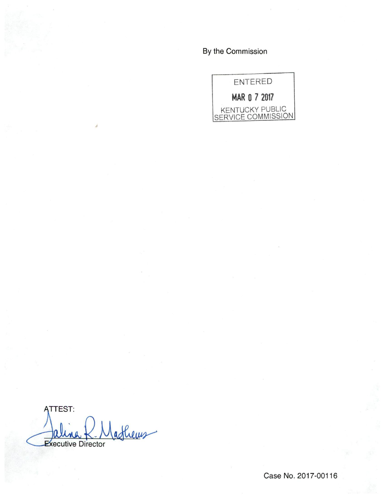By the Commission



ATTEST: afheus **Executive Director**